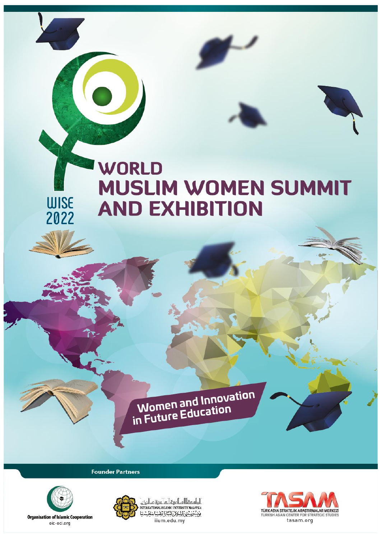# **WORLD MUSLIM WOMEN SUMMIT AND EXHIBITION**

Women and Innovation<br>in Future Education

**Founder Partners** 



**WISE** 

2022

**Organisation of Islamic Cooperation** oic-oci.org



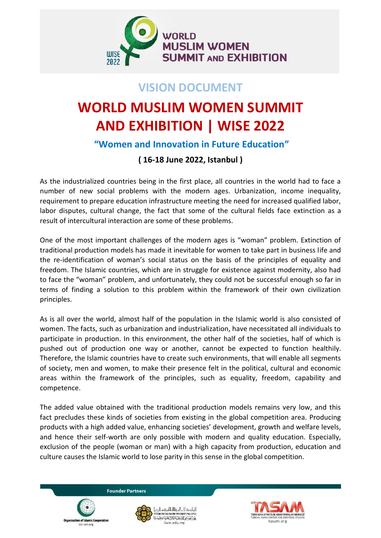

## **VISION DOCUMENT**

## **WORLD MUSLIM WOMEN SUMMIT AND EXHIBITION | WISE 2022**

## **"Women and Innovation in Future Education"**

### **( 16-18 June 2022, Istanbul )**

As the industrialized countries being in the first place, all countries in the world had to face a number of new social problems with the modern ages. Urbanization, income inequality, requirement to prepare education infrastructure meeting the need for increased qualified labor, labor disputes, cultural change, the fact that some of the cultural fields face extinction as a result of intercultural interaction are some of these problems.

One of the most important challenges of the modern ages is "woman" problem. Extinction of traditional production models has made it inevitable for women to take part in business life and the re-identification of woman's social status on the basis of the principles of equality and freedom. The Islamic countries, which are in struggle for existence against modernity, also had to face the "woman" problem, and unfortunately, they could not be successful enough so far in terms of finding a solution to this problem within the framework of their own civilization principles.

As is all over the world, almost half of the population in the Islamic world is also consisted of women. The facts, such as urbanization and industrialization, have necessitated all individuals to participate in production. In this environment, the other half of the societies, half of which is pushed out of production one way or another, cannot be expected to function healthily. Therefore, the Islamic countries have to create such environments, that will enable all segments of society, men and women, to make their presence felt in the political, cultural and economic areas within the framework of the principles, such as equality, freedom, capability and competence.

The added value obtained with the traditional production models remains very low, and this fact precludes these kinds of societies from existing in the global competition area. Producing products with a high added value, enhancing societies' development, growth and welfare levels, and hence their self-worth are only possible with modern and quality education. Especially, exclusion of the people (woman or man) with a high capacity from production, education and culture causes the Islamic world to lose parity in this sense in the global competition.





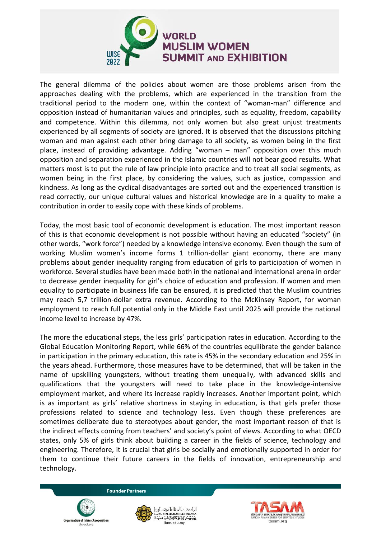

The general dilemma of the policies about women are those problems arisen from the approaches dealing with the problems, which are experienced in the transition from the traditional period to the modern one, within the context of "woman-man" difference and opposition instead of humanitarian values and principles, such as equality, freedom, capability and competence. Within this dilemma, not only women but also great unjust treatments experienced by all segments of society are ignored. It is observed that the discussions pitching woman and man against each other bring damage to all society, as women being in the first place, instead of providing advantage. Adding "woman – man" opposition over this much opposition and separation experienced in the Islamic countries will not bear good results. What matters most is to put the rule of law principle into practice and to treat all social segments, as women being in the first place, by considering the values, such as justice, compassion and kindness. As long as the cyclical disadvantages are sorted out and the experienced transition is read correctly, our unique cultural values and historical knowledge are in a quality to make a contribution in order to easily cope with these kinds of problems.

Today, the most basic tool of economic development is education. The most important reason of this is that economic development is not possible without having an educated "society" (in other words, "work force") needed by a knowledge intensive economy. Even though the sum of working Muslim women's income forms 1 trillion-dollar giant economy, there are many problems about gender inequality ranging from education of girls to participation of women in workforce. Several studies have been made both in the national and international arena in order to decrease gender inequality for girl's choice of education and profession. If women and men equality to participate in business life can be ensured, it is predicted that the Muslim countries may reach 5,7 trillion-dollar extra revenue. According to the McKinsey Report, for woman employment to reach full potential only in the Middle East until 2025 will provide the national income level to increase by 47%.

The more the educational steps, the less girls' participation rates in education. According to the Global Education Monitoring Report, while 66% of the countries equilibrate the gender balance in participation in the primary education, this rate is 45% in the secondary education and 25% in the years ahead. Furthermore, those measures have to be determined, that will be taken in the name of upskilling youngsters, without treating them unequally, with advanced skills and qualifications that the youngsters will need to take place in the knowledge-intensive employment market, and where its increase rapidly increases. Another important point, which is as important as girls' relative shortness in staying in education, is that girls prefer those professions related to science and technology less. Even though these preferences are sometimes deliberate due to stereotypes about gender, the most important reason of that is the indirect effects coming from teachers' and society's point of views. According to what OECD states, only 5% of girls think about building a career in the fields of science, technology and engineering. Therefore, it is crucial that girls be socially and emotionally supported in order for them to continue their future careers in the fields of innovation, entrepreneurship and technology.

of Islamic Coope

pic-oci org



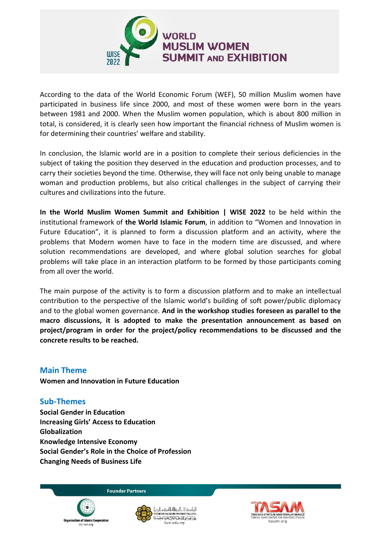

According to the data of the World Economic Forum (WEF), 50 million Muslim women have participated in business life since 2000, and most of these women were born in the years between 1981 and 2000. When the Muslim women population, which is about 800 million in total, is considered, it is clearly seen how important the financial richness of Muslim women is for determining their countries' welfare and stability.

In conclusion, the Islamic world are in a position to complete their serious deficiencies in the subject of taking the position they deserved in the education and production processes, and to carry their societies beyond the time. Otherwise, they will face not only being unable to manage woman and production problems, but also critical challenges in the subject of carrying their cultures and civilizations into the future.

**In the World Muslim Women Summit and Exhibition | WISE 2022** to be held within the institutional framework of **the World Islamic Forum**, in addition to "Women and Innovation in Future Education", it is planned to form a discussion platform and an activity, where the problems that Modern women have to face in the modern time are discussed, and where solution recommendations are developed, and where global solution searches for global problems will take place in an interaction platform to be formed by those participants coming from all over the world.

The main purpose of the activity is to form a discussion platform and to make an intellectual contribution to the perspective of the Islamic world's building of soft power/public diplomacy and to the global women governance. **And in the workshop studies foreseen as parallel to the macro discussions, it is adopted to make the presentation announcement as based on project/program in order for the project/policy recommendations to be discussed and the concrete results to be reached.**

#### **Main Theme**

**Women and Innovation in Future Education** 

#### **Sub-Themes**

**Social Gender in Education Increasing Girls' Access to Education Globalization Knowledge Intensive Economy Social Gender's Role in the Choice of Profession Changing Needs of Business Life**





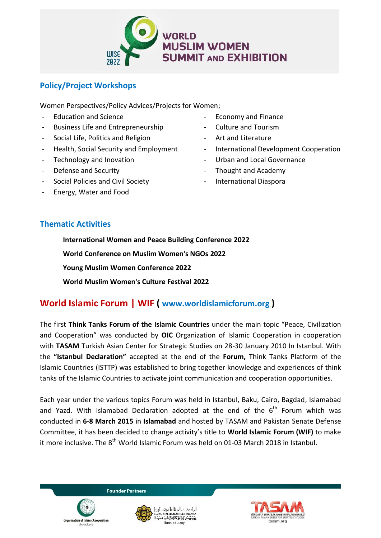

#### **Policy/Project Workshops**

Women Perspectives/Policy Advices/Projects for Women;

- Education and Science
- Business Life and Entrepreneurship
- Social Life, Politics and Religion
- Health, Social Security and Employment
- Technology and Inovation
- Defense and Security
- Social Policies and Civil Society
- Energy, Water and Food
- Economy and Finance
- Culture and Tourism
- Art and Literature
- International Development Cooperation
- Urban and Local Governance
- Thought and Academy
- International Diaspora

#### **Thematic Activities**

**International Women and Peace Building Conference 2022 World Conference on Muslim Women's NGOs 2022 Young Muslim Women Conference 2022 World Muslim Women's Culture Festival 2022**

## **World Islamic Forum | WIF ( www.worldislamicforum.org )**

The first **Think Tanks Forum of the Islamic Countries** under the main topic "Peace, Civilization and Cooperation" was conducted by **OIC** Organization of Islamic Cooperation in cooperation with **TASAM** Turkish Asian Center for Strategic Studies on 28-30 January 2010 In Istanbul. With the **"Istanbul Declaration"** accepted at the end of the **Forum,** Think Tanks Platform of the Islamic Countries (ISTTP) was established to bring together knowledge and experiences of think tanks of the Islamic Countries to activate joint communication and cooperation opportunities.

Each year under the various topics Forum was held in Istanbul, Baku, Cairo, Bagdad, Islamabad and Yazd. With Islamabad Declaration adopted at the end of the  $6<sup>th</sup>$  Forum which was conducted in **6-8 March 2015** in **Islamabad** and hosted by TASAM and Pakistan Senate Defense Committee, it has been decided to change activity's title to **World Islamic Forum (WIF)** to make it more inclusive. The 8<sup>th</sup> World Islamic Forum was held on 01-03 March 2018 in Istanbul.